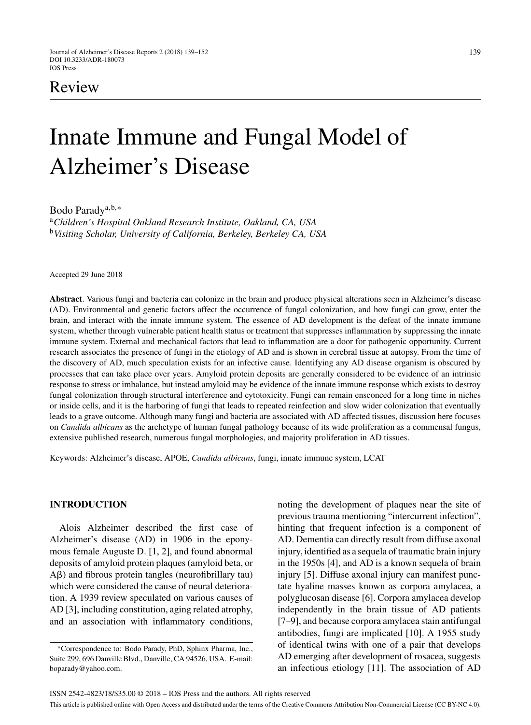# Review

# Innate Immune and Fungal Model of Alzheimer's Disease

Bodo Paradya,b,<sup>∗</sup>

<sup>a</sup>*Children's Hospital Oakland Research Institute, Oakland, CA, USA* <sup>b</sup>*Visiting Scholar, University of California, Berkeley, Berkeley CA, USA*

Accepted 29 June 2018

**Abstract**. Various fungi and bacteria can colonize in the brain and produce physical alterations seen in Alzheimer's disease (AD). Environmental and genetic factors affect the occurrence of fungal colonization, and how fungi can grow, enter the brain, and interact with the innate immune system. The essence of AD development is the defeat of the innate immune system, whether through vulnerable patient health status or treatment that suppresses inflammation by suppressing the innate immune system. External and mechanical factors that lead to inflammation are a door for pathogenic opportunity. Current research associates the presence of fungi in the etiology of AD and is shown in cerebral tissue at autopsy. From the time of the discovery of AD, much speculation exists for an infective cause. Identifying any AD disease organism is obscured by processes that can take place over years. Amyloid protein deposits are generally considered to be evidence of an intrinsic response to stress or imbalance, but instead amyloid may be evidence of the innate immune response which exists to destroy fungal colonization through structural interference and cytotoxicity. Fungi can remain ensconced for a long time in niches or inside cells, and it is the harboring of fungi that leads to repeated reinfection and slow wider colonization that eventually leads to a grave outcome. Although many fungi and bacteria are associated with AD affected tissues, discussion here focuses on *Candida albicans* as the archetype of human fungal pathology because of its wide proliferation as a commensal fungus, extensive published research, numerous fungal morphologies, and majority proliferation in AD tissues.

Keywords: Alzheimer's disease, APOE, *Candida albicans*, fungi, innate immune system, LCAT

# **INTRODUCTION**

Alois Alzheimer described the first case of Alzheimer's disease (AD) in 1906 in the eponymous female Auguste D. [1, 2], and found abnormal deposits of amyloid protein plaques (amyloid beta, or A $\beta$ ) and fibrous protein tangles (neurofibrillary tau) which were considered the cause of neural deterioration. A 1939 review speculated on various causes of AD [3], including constitution, aging related atrophy, and an association with inflammatory conditions,

noting the development of plaques near the site of previous trauma mentioning "intercurrent infection", hinting that frequent infection is a component of AD. Dementia can directly result from diffuse axonal injury, identified as a sequela of traumatic brain injury in the 1950s [4], and AD is a known sequela of brain injury [5]. Diffuse axonal injury can manifest punctate hyaline masses known as corpora amylacea, a polyglucosan disease [6]. Corpora amylacea develop independently in the brain tissue of AD patients [7–9], and because corpora amylacea stain antifungal antibodies, fungi are implicated [10]. A 1955 study of identical twins with one of a pair that develops AD emerging after development of rosacea, suggests an infectious etiology [11]. The association of AD

<sup>∗</sup>Correspondence to: Bodo Parady, PhD, Sphinx Pharma, Inc., Suite 299, 696 Danville Blvd., Danville, CA 94526, USA. E-mail: [boparady@yahoo.com](mailto:boparady@yahoo.com).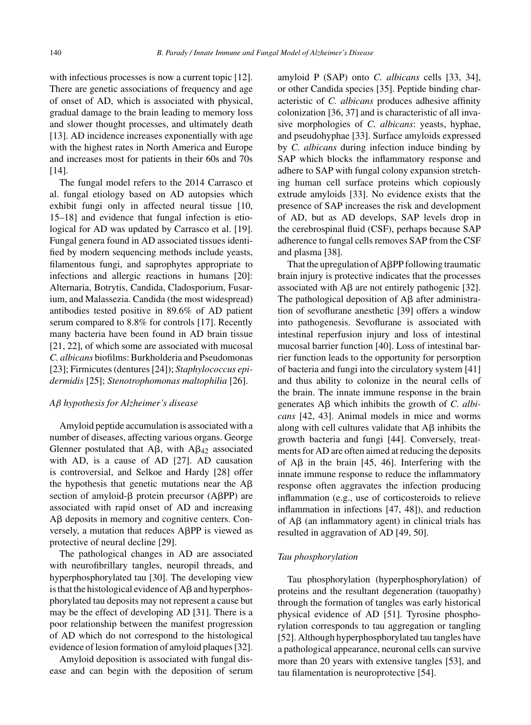with infectious processes is now a current topic [12]. There are genetic associations of frequency and age of onset of AD, which is associated with physical, gradual damage to the brain leading to memory loss and slower thought processes, and ultimately death [13]. AD incidence increases exponentially with age with the highest rates in North America and Europe and increases most for patients in their 60s and 70s [14].

The fungal model refers to the 2014 Carrasco et al. fungal etiology based on AD autopsies which exhibit fungi only in affected neural tissue [10, 15–18] and evidence that fungal infection is etiological for AD was updated by Carrasco et al. [19]. Fungal genera found in AD associated tissues identified by modern sequencing methods include yeasts, filamentous fungi, and saprophytes appropriate to infections and allergic reactions in humans [20]: Alternaria, Botrytis, Candida, Cladosporium, Fusarium, and Malassezia. Candida (the most widespread) antibodies tested positive in 89.6% of AD patient serum compared to 8.8% for controls [17]. Recently many bacteria have been found in AD brain tissue [21, 22], of which some are associated with mucosal *C. albicans* biofilms: Burkholderia and Pseudomonas [23]; Firmicutes (dentures [24]); *Staphylococcus epidermidis* [25]; *Stenotrophomonas maltophilia* [26].

# *A*β *hypothesis for Alzheimer's disease*

Amyloid peptide accumulation is associated with a number of diseases, affecting various organs. George Glenner postulated that A $\beta$ , with A $\beta$ <sub>42</sub> associated with AD, is a cause of AD [27]. AD causation is controversial, and Selkoe and Hardy [28] offer the hypothesis that genetic mutations near the  $A\beta$ section of amyloid- $\beta$  protein precursor (A $\beta$ PP) are associated with rapid onset of AD and increasing A $\beta$  deposits in memory and cognitive centers. Conversely, a mutation that reduces  $A\beta PP$  is viewed as protective of neural decline [29].

The pathological changes in AD are associated with neurofibrillary tangles, neuropil threads, and hyperphosphorylated tau [30]. The developing view is that the histological evidence of  $A\beta$  and hyperphosphorylated tau deposits may not represent a cause but may be the effect of developing AD [31]. There is a poor relationship between the manifest progression of AD which do not correspond to the histological evidence of lesion formation of amyloid plaques [32].

Amyloid deposition is associated with fungal disease and can begin with the deposition of serum amyloid P (SAP) onto *C. albicans* cells [33, 34], or other Candida species [35]. Peptide binding characteristic of *C. albicans* produces adhesive affinity colonization [36, 37] and is characteristic of all invasive morphologies of *C. albicans*: yeasts, hyphae, and pseudohyphae [33]. Surface amyloids expressed by *C. albicans* during infection induce binding by SAP which blocks the inflammatory response and adhere to SAP with fungal colony expansion stretching human cell surface proteins which copiously extrude amyloids [33]. No evidence exists that the presence of SAP increases the risk and development of AD, but as AD develops, SAP levels drop in the cerebrospinal fluid (CSF), perhaps because SAP adherence to fungal cells removes SAP from the CSF and plasma [38].

That the upregulation of  $A\beta PP$  following traumatic brain injury is protective indicates that the processes associated with  $\text{A}\beta$  are not entirely pathogenic [32]. The pathological deposition of  $A\beta$  after administration of sevoflurane anesthetic [39] offers a window into pathogenesis. Sevoflurane is associated with intestinal reperfusion injury and loss of intestinal mucosal barrier function [40]. Loss of intestinal barrier function leads to the opportunity for persorption of bacteria and fungi into the circulatory system [41] and thus ability to colonize in the neural cells of the brain. The innate immune response in the brain generates  $\text{A}\beta$  which inhibits the growth of *C. albicans* [42, 43]. Animal models in mice and worms along with cell cultures validate that  $A\beta$  inhibits the growth bacteria and fungi [44]. Conversely, treatments for AD are often aimed at reducing the deposits of  $\overrightarrow{AB}$  in the brain [45, 46]. Interfering with the innate immune response to reduce the inflammatory response often aggravates the infection producing inflammation (e.g., use of corticosteroids to relieve inflammation in infections [47, 48]), and reduction of  $A\beta$  (an inflammatory agent) in clinical trials has resulted in aggravation of AD [49, 50].

#### *Tau phosphorylation*

Tau phosphorylation (hyperphosphorylation) of proteins and the resultant degeneration (tauopathy) through the formation of tangles was early historical physical evidence of AD [51]. Tyrosine phosphorylation corresponds to tau aggregation or tangling [52]. Although hyperphosphorylated tau tangles have a pathological appearance, neuronal cells can survive more than 20 years with extensive tangles [53], and tau filamentation is neuroprotective [54].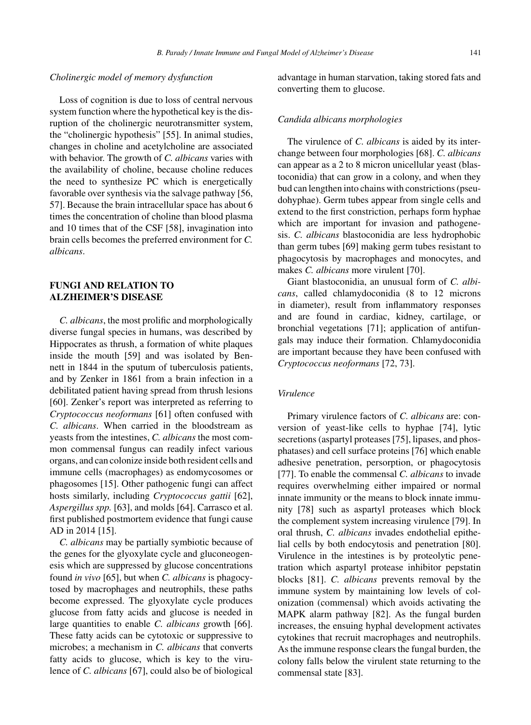#### *Cholinergic model of memory dysfunction*

Loss of cognition is due to loss of central nervous system function where the hypothetical key is the disruption of the cholinergic neurotransmitter system, the "cholinergic hypothesis" [55]. In animal studies, changes in choline and acetylcholine are associated with behavior. The growth of *C. albicans* varies with the availability of choline, because choline reduces the need to synthesize PC which is energetically favorable over synthesis via the salvage pathway [56, 57]. Because the brain intracellular space has about 6 times the concentration of choline than blood plasma and 10 times that of the CSF [58], invagination into brain cells becomes the preferred environment for *C. albicans*.

# **FUNGI AND RELATION TO ALZHEIMER'S DISEASE**

*C. albicans*, the most prolific and morphologically diverse fungal species in humans, was described by Hippocrates as thrush, a formation of white plaques inside the mouth [59] and was isolated by Bennett in 1844 in the sputum of tuberculosis patients, and by Zenker in 1861 from a brain infection in a debilitated patient having spread from thrush lesions [60]. Zenker's report was interpreted as referring to *Cryptococcus neoformans* [61] often confused with *C. albicans*. When carried in the bloodstream as yeasts from the intestines, *C. albicans* the most common commensal fungus can readily infect various organs, and can colonize inside both resident cells and immune cells (macrophages) as endomycosomes or phagosomes [15]. Other pathogenic fungi can affect hosts similarly, including *Cryptococcus gattii* [62], *Aspergillus spp.* [63], and molds [64]. Carrasco et al. first published postmortem evidence that fungi cause AD in 2014 [15].

*C. albicans* may be partially symbiotic because of the genes for the glyoxylate cycle and gluconeogenesis which are suppressed by glucose concentrations found *in vivo* [65], but when *C. albicans* is phagocytosed by macrophages and neutrophils, these paths become expressed. The glyoxylate cycle produces glucose from fatty acids and glucose is needed in large quantities to enable *C. albicans* growth [66]. These fatty acids can be cytotoxic or suppressive to microbes; a mechanism in *C. albicans* that converts fatty acids to glucose, which is key to the virulence of *C. albicans* [67], could also be of biological

advantage in human starvation, taking stored fats and converting them to glucose.

#### *Candida albicans morphologies*

The virulence of *C. albicans* is aided by its interchange between four morphologies [68]. *C. albicans* can appear as a 2 to 8 micron unicellular yeast (blastoconidia) that can grow in a colony, and when they bud can lengthen into chains with constrictions (pseudohyphae). Germ tubes appear from single cells and extend to the first constriction, perhaps form hyphae which are important for invasion and pathogenesis. *C. albicans* blastoconidia are less hydrophobic than germ tubes [69] making germ tubes resistant to phagocytosis by macrophages and monocytes, and makes *C. albicans* more virulent [70].

Giant blastoconidia, an unusual form of *C. albicans*, called chlamydoconidia (8 to 12 microns in diameter), result from inflammatory responses and are found in cardiac, kidney, cartilage, or bronchial vegetations [71]; application of antifungals may induce their formation. Chlamydoconidia are important because they have been confused with *Cryptococcus neoformans* [72, 73].

#### *Virulence*

Primary virulence factors of *C. albicans* are: conversion of yeast-like cells to hyphae [74], lytic secretions (aspartyl proteases [75], lipases, and phosphatases) and cell surface proteins [76] which enable adhesive penetration, persorption, or phagocytosis [77]. To enable the commensal *C. albicans* to invade requires overwhelming either impaired or normal innate immunity or the means to block innate immunity [78] such as aspartyl proteases which block the complement system increasing virulence [79]. In oral thrush, *C. albicans* invades endothelial epithelial cells by both endocytosis and penetration [80]. Virulence in the intestines is by proteolytic penetration which aspartyl protease inhibitor pepstatin blocks [81]. *C. albicans* prevents removal by the immune system by maintaining low levels of colonization (commensal) which avoids activating the MAPK alarm pathway [82]. As the fungal burden increases, the ensuing hyphal development activates cytokines that recruit macrophages and neutrophils. As the immune response clears the fungal burden, the colony falls below the virulent state returning to the commensal state [83].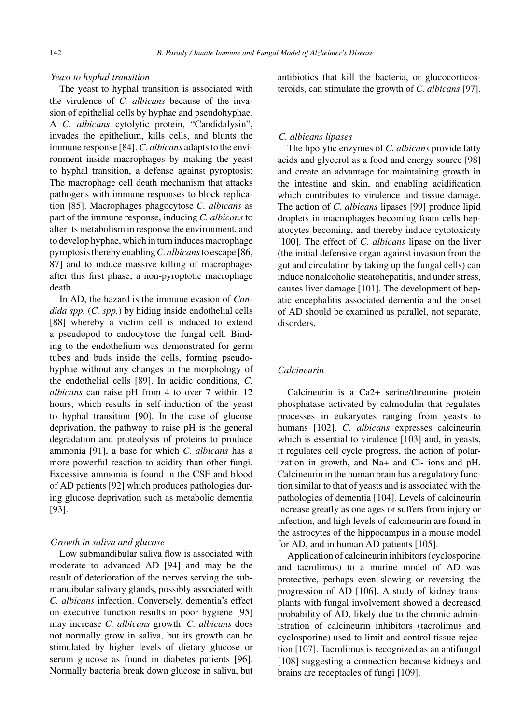# *Yeast to hyphal transition*

The yeast to hyphal transition is associated with the virulence of *C. albicans* because of the invasion of epithelial cells by hyphae and pseudohyphae. A *C. albicans* cytolytic protein, "Candidalysin", invades the epithelium, kills cells, and blunts the immune response [84]. *C. albicans* adapts to the environment inside macrophages by making the yeast to hyphal transition, a defense against pyroptosis: The macrophage cell death mechanism that attacks pathogens with immune responses to block replication [85]. Macrophages phagocytose *C. albicans* as part of the immune response, inducing *C. albicans* to alter its metabolism in response the environment, and to develop hyphae, which in turn induces macrophage pyroptosis thereby enabling*C. albicans*to escape [86, 87] and to induce massive killing of macrophages after this first phase, a non-pyroptotic macrophage death.

In AD, the hazard is the immune evasion of *Candida spp.* (*C. spp.*) by hiding inside endothelial cells [88] whereby a victim cell is induced to extend a pseudopod to endocytose the fungal cell. Binding to the endothelium was demonstrated for germ tubes and buds inside the cells, forming pseudohyphae without any changes to the morphology of the endothelial cells [89]. In acidic conditions, *C. albicans* can raise pH from 4 to over 7 within 12 hours, which results in self-induction of the yeast to hyphal transition [90]. In the case of glucose deprivation, the pathway to raise pH is the general degradation and proteolysis of proteins to produce ammonia [91], a base for which *C. albicans* has a more powerful reaction to acidity than other fungi. Excessive ammonia is found in the CSF and blood of AD patients [92] which produces pathologies during glucose deprivation such as metabolic dementia [93].

# *Growth in saliva and glucose*

Low submandibular saliva flow is associated with moderate to advanced AD [94] and may be the result of deterioration of the nerves serving the submandibular salivary glands, possibly associated with *C. albicans* infection. Conversely, dementia's effect on executive function results in poor hygiene [95] may increase *C. albicans* growth. *C. albicans* does not normally grow in saliva, but its growth can be stimulated by higher levels of dietary glucose or serum glucose as found in diabetes patients [96]. Normally bacteria break down glucose in saliva, but antibiotics that kill the bacteria, or glucocorticosteroids, can stimulate the growth of *C. albicans* [97].

#### *C. albicans lipases*

The lipolytic enzymes of *C. albicans* provide fatty acids and glycerol as a food and energy source [98] and create an advantage for maintaining growth in the intestine and skin, and enabling acidification which contributes to virulence and tissue damage. The action of *C. albicans* lipases [99] produce lipid droplets in macrophages becoming foam cells hepatocytes becoming, and thereby induce cytotoxicity [100]. The effect of *C. albicans* lipase on the liver (the initial defensive organ against invasion from the gut and circulation by taking up the fungal cells) can induce nonalcoholic steatohepatitis, and under stress, causes liver damage [101]. The development of hepatic encephalitis associated dementia and the onset of AD should be examined as parallel, not separate, disorders.

# *Calcineurin*

Calcineurin is a Ca2+ serine/threonine protein phosphatase activated by calmodulin that regulates processes in eukaryotes ranging from yeasts to humans [102]. *C. albicans* expresses calcineurin which is essential to virulence [103] and, in yeasts, it regulates cell cycle progress, the action of polarization in growth, and Na+ and Cl- ions and pH. Calcineurin in the human brain has a regulatory function similar to that of yeasts and is associated with the pathologies of dementia [104]. Levels of calcineurin increase greatly as one ages or suffers from injury or infection, and high levels of calcineurin are found in the astrocytes of the hippocampus in a mouse model for AD, and in human AD patients [105].

Application of calcineurin inhibitors (cyclosporine and tacrolimus) to a murine model of AD was protective, perhaps even slowing or reversing the progression of AD [106]. A study of kidney transplants with fungal involvement showed a decreased probability of AD, likely due to the chronic administration of calcineurin inhibitors (tacrolimus and cyclosporine) used to limit and control tissue rejection [107]. Tacrolimus is recognized as an antifungal [108] suggesting a connection because kidneys and brains are receptacles of fungi [109].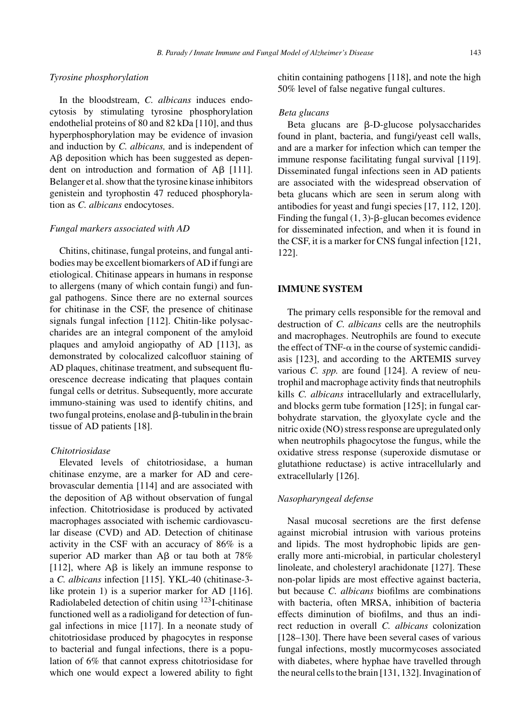# *Tyrosine phosphorylation*

In the bloodstream, *C. albicans* induces endocytosis by stimulating tyrosine phosphorylation endothelial proteins of 80 and 82 kDa [110], and thus hyperphosphorylation may be evidence of invasion and induction by *C. albicans,* and is independent of A $\beta$  deposition which has been suggested as dependent on introduction and formation of  $\text{A}\beta$  [111]. Belanger et al. show that the tyrosine kinase inhibitors genistein and tyrophostin 47 reduced phosphorylation as *C. albicans* endocytoses.

# *Fungal markers associated with AD*

Chitins, chitinase, fungal proteins, and fungal antibodies may be excellent biomarkers of AD if fungi are etiological. Chitinase appears in humans in response to allergens (many of which contain fungi) and fungal pathogens. Since there are no external sources for chitinase in the CSF, the presence of chitinase signals fungal infection [112]. Chitin-like polysaccharides are an integral component of the amyloid plaques and amyloid angiopathy of AD [113], as demonstrated by colocalized calcofluor staining of AD plaques, chitinase treatment, and subsequent fluorescence decrease indicating that plaques contain fungal cells or detritus. Subsequently, more accurate immuno-staining was used to identify chitins, and two fungal proteins, enolase and  $\beta$ -tubulin in the brain tissue of AD patients [18].

# *Chitotriosidase*

Elevated levels of chitotriosidase, a human chitinase enzyme, are a marker for AD and cerebrovascular dementia [114] and are associated with the deposition of  $A\beta$  without observation of fungal infection. Chitotriosidase is produced by activated macrophages associated with ischemic cardiovascular disease (CVD) and AD. Detection of chitinase activity in the CSF with an accuracy of 86% is a superior AD marker than A $\beta$  or tau both at 78% [112], where  $\mathbf{A}\mathbf{\beta}$  is likely an immune response to a *C. albicans* infection [115]. YKL-40 (chitinase-3 like protein 1) is a superior marker for AD [116]. Radiolabeled detection of chitin using 123I-chitinase functioned well as a radioligand for detection of fungal infections in mice [117]. In a neonate study of chitotriosidase produced by phagocytes in response to bacterial and fungal infections, there is a population of 6% that cannot express chitotriosidase for which one would expect a lowered ability to fight

chitin containing pathogens [118], and note the high 50% level of false negative fungal cultures.

#### *Beta glucans*

Beta glucans are  $\beta$ -D-glucose polysaccharides found in plant, bacteria, and fungi/yeast cell walls, and are a marker for infection which can temper the immune response facilitating fungal survival [119]. Disseminated fungal infections seen in AD patients are associated with the widespread observation of beta glucans which are seen in serum along with antibodies for yeast and fungi species [17, 112, 120]. Finding the fungal  $(1, 3)$ - $\beta$ -glucan becomes evidence for disseminated infection, and when it is found in the CSF, it is a marker for CNS fungal infection [121, 122].

# **IMMUNE SYSTEM**

The primary cells responsible for the removal and destruction of *C. albicans* cells are the neutrophils and macrophages. Neutrophils are found to execute the effect of TNF- $\alpha$  in the course of systemic candidiasis [123], and according to the ARTEMIS survey various *C. spp.* are found [124]. A review of neutrophil and macrophage activity finds that neutrophils kills *C. albicans* intracellularly and extracellularly, and blocks germ tube formation [125]; in fungal carbohydrate starvation, the glyoxylate cycle and the nitric oxide (NO) stress response are upregulated only when neutrophils phagocytose the fungus, while the oxidative stress response (superoxide dismutase or glutathione reductase) is active intracellularly and extracellularly [126].

# *Nasopharyngeal defense*

Nasal mucosal secretions are the first defense against microbial intrusion with various proteins and lipids. The most hydrophobic lipids are generally more anti-microbial, in particular cholesteryl linoleate, and cholesteryl arachidonate [127]. These non-polar lipids are most effective against bacteria, but because *C. albicans* biofilms are combinations with bacteria, often MRSA, inhibition of bacteria effects diminution of biofilms, and thus an indirect reduction in overall *C. albicans* colonization [128–130]. There have been several cases of various fungal infections, mostly mucormycoses associated with diabetes, where hyphae have travelled through the neural cells to the brain [131, 132]. Invagination of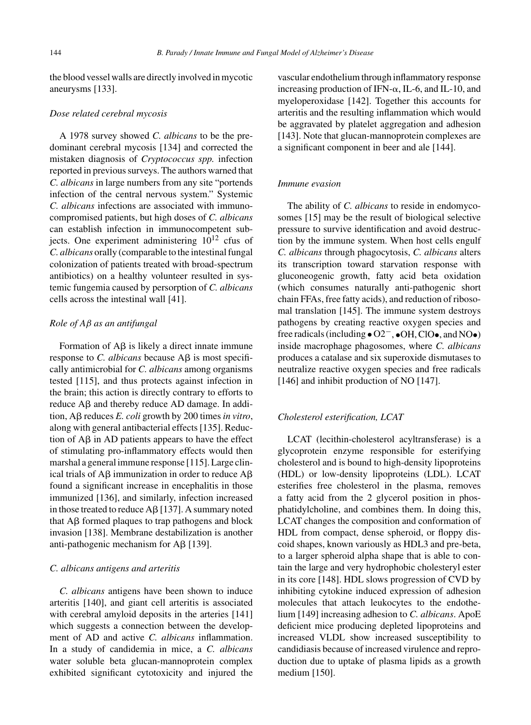the blood vessel walls are directly involved in mycotic aneurysms [133].

#### *Dose related cerebral mycosis*

A 1978 survey showed *C. albicans* to be the predominant cerebral mycosis [134] and corrected the mistaken diagnosis of *Cryptococcus spp.* infection reported in previous surveys. The authors warned that *C. albicans* in large numbers from any site "portends infection of the central nervous system." Systemic *C. albicans* infections are associated with immunocompromised patients, but high doses of *C. albicans* can establish infection in immunocompetent subjects. One experiment administering  $10^{12}$  cfus of *C. albicans* orally (comparable to the intestinal fungal colonization of patients treated with broad-spectrum antibiotics) on a healthy volunteer resulted in systemic fungemia caused by persorption of *C. albicans* cells across the intestinal wall [41].

### *Role of A*β *as an antifungal*

Formation of  $A\beta$  is likely a direct innate immune response to *C. albicans* because  $\text{A}\beta$  is most specifically antimicrobial for *C. albicans* among organisms tested [115], and thus protects against infection in the brain; this action is directly contrary to efforts to  $reduce A\beta$  and thereby reduce  $AD$  damage. In addition, Aβ reduces *E. coli* growth by 200 times *in vitro*, along with general antibacterial effects [135]. Reduction of  $\overrightarrow{AB}$  in AD patients appears to have the effect of stimulating pro-inflammatory effects would then marshal a general immune response [115]. Large clinical trials of A $\beta$  immunization in order to reduce A $\beta$ found a significant increase in encephalitis in those immunized [136], and similarly, infection increased in those treated to reduce  $A\beta$  [137]. A summary noted that  $\text{A}\beta$  formed plaques to trap pathogens and block invasion [138]. Membrane destabilization is another anti-pathogenic mechanism for  $A\beta$  [139].

#### *C. albicans antigens and arteritis*

*C. albicans* antigens have been shown to induce arteritis [140], and giant cell arteritis is associated with cerebral amyloid deposits in the arteries [141] which suggests a connection between the development of AD and active *C. albicans* inflammation. In a study of candidemia in mice, a *C. albicans* water soluble beta glucan-mannoprotein complex exhibited significant cytotoxicity and injured the vascular endothelium through inflammatory response increasing production of IFN- $\alpha$ , IL-6, and IL-10, and myeloperoxidase [142]. Together this accounts for arteritis and the resulting inflammation which would be aggravated by platelet aggregation and adhesion [143]. Note that glucan-mannoprotein complexes are a significant component in beer and ale [144].

#### *Immune evasion*

The ability of *C. albicans* to reside in endomycosomes [15] may be the result of biological selective pressure to survive identification and avoid destruction by the immune system. When host cells engulf *C. albicans* through phagocytosis, *C. albicans* alters its transcription toward starvation response with gluconeogenic growth, fatty acid beta oxidation (which consumes naturally anti-pathogenic short chain FFAs, free fatty acids), and reduction of ribosomal translation [145]. The immune system destroys pathogens by creating reactive oxygen species and free radicals (including • O2−, •OH, ClO•, and NO•) inside macrophage phagosomes, where *C. albicans* produces a catalase and six superoxide dismutases to neutralize reactive oxygen species and free radicals [146] and inhibit production of NO [147].

## *Cholesterol esterification, LCAT*

LCAT (lecithin-cholesterol acyltransferase) is a glycoprotein enzyme responsible for esterifying cholesterol and is bound to high-density lipoproteins (HDL) or low-density lipoproteins (LDL). LCAT esterifies free cholesterol in the plasma, removes a fatty acid from the 2 glycerol position in phosphatidylcholine, and combines them. In doing this, LCAT changes the composition and conformation of HDL from compact, dense spheroid, or floppy discoid shapes, known variously as HDL3 and pre-beta, to a larger spheroid alpha shape that is able to contain the large and very hydrophobic cholesteryl ester in its core [148]. HDL slows progression of CVD by inhibiting cytokine induced expression of adhesion molecules that attach leukocytes to the endothelium [149] increasing adhesion to *C. albicans*. ApoE deficient mice producing depleted lipoproteins and increased VLDL show increased susceptibility to candidiasis because of increased virulence and reproduction due to uptake of plasma lipids as a growth medium [150].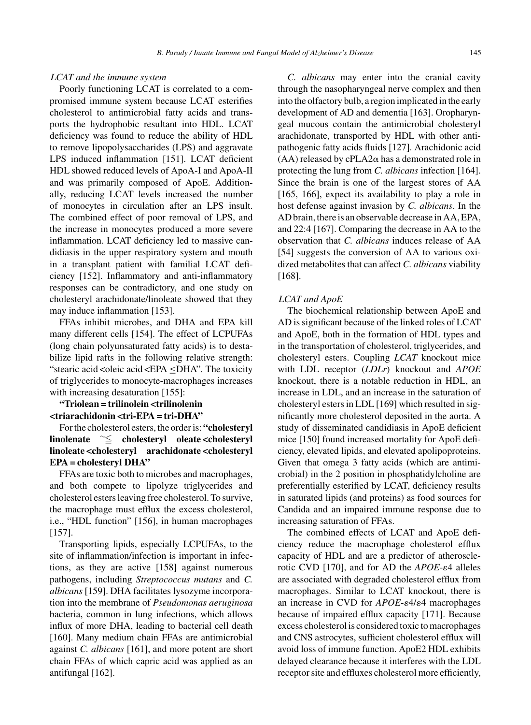## *LCAT and the immune system*

Poorly functioning LCAT is correlated to a compromised immune system because LCAT esterifies cholesterol to antimicrobial fatty acids and transports the hydrophobic resultant into HDL. LCAT deficiency was found to reduce the ability of HDL to remove lipopolysaccharides (LPS) and aggravate LPS induced inflammation [151]. LCAT deficient HDL showed reduced levels of ApoA-I and ApoA-II and was primarily composed of ApoE. Additionally, reducing LCAT levels increased the number of monocytes in circulation after an LPS insult. The combined effect of poor removal of LPS, and the increase in monocytes produced a more severe inflammation. LCAT deficiency led to massive candidiasis in the upper respiratory system and mouth in a transplant patient with familial LCAT deficiency [152]. Inflammatory and anti-inflammatory responses can be contradictory, and one study on cholesteryl arachidonate/linoleate showed that they may induce inflammation [153].

FFAs inhibit microbes, and DHA and EPA kill many different cells [154]. The effect of LCPUFAs (long chain polyunsaturated fatty acids) is to destabilize lipid rafts in the following relative strength: "stearic acid < oleic acid < EPA  $\leq$ DHA". The toxicity of triglycerides to monocyte-macrophages increases with increasing desaturation [155]:

# **"Triolean = trilinolein <trilinolenin <triarachidonin <tri-EPA = tri-DHA"**

For the cholesterol esters, the order is: **"cholesteryl** linolenate  $\widetilde{\phantom{a}} \leq \phantom{a}$  cholesteryl oleate <cholesteryl **linoleate <cholesteryl arachidonate <cholesteryl EPA = cholesteryl DHA"**

FFAs are toxic both to microbes and macrophages, and both compete to lipolyze triglycerides and cholesterol esters leaving free cholesterol. To survive, the macrophage must efflux the excess cholesterol, i.e., "HDL function" [156], in human macrophages [157].

Transporting lipids, especially LCPUFAs, to the site of inflammation/infection is important in infections, as they are active [158] against numerous pathogens, including *Streptococcus mutans* and *C. albicans* [159]. DHA facilitates lysozyme incorporation into the membrane of *Pseudomonas aeruginosa* bacteria, common in lung infections, which allows influx of more DHA, leading to bacterial cell death [160]. Many medium chain FFAs are antimicrobial against *C. albicans* [161], and more potent are short chain FFAs of which capric acid was applied as an antifungal [162].

*C. albicans* may enter into the cranial cavity through the nasopharyngeal nerve complex and then into the olfactory bulb, a region implicated in the early development of AD and dementia [163]. Oropharyngeal mucous contain the antimicrobial cholesteryl arachidonate, transported by HDL with other antipathogenic fatty acids fluids [127]. Arachidonic acid (AA) released by  $cPLA2\alpha$  has a demonstrated role in protecting the lung from *C. albicans* infection [164]. Since the brain is one of the largest stores of AA [165, 166], expect its availability to play a role in host defense against invasion by *C. albicans*. In the AD brain, there is an observable decrease in AA, EPA, and 22:4 [167]. Comparing the decrease in AA to the observation that *C. albicans* induces release of AA [54] suggests the conversion of AA to various oxidized metabolites that can affect *C. albicans* viability [168].

#### *LCAT and ApoE*

The biochemical relationship between ApoE and AD is significant because of the linked roles of LCAT and ApoE, both in the formation of HDL types and in the transportation of cholesterol, triglycerides, and cholesteryl esters. Coupling *LCAT* knockout mice with LDL receptor (*LDLr*) knockout and *APOE* knockout, there is a notable reduction in HDL, an increase in LDL, and an increase in the saturation of cholesteryl esters in LDL [169] which resulted in significantly more cholesterol deposited in the aorta. A study of disseminated candidiasis in ApoE deficient mice [150] found increased mortality for ApoE deficiency, elevated lipids, and elevated apolipoproteins. Given that omega 3 fatty acids (which are antimicrobial) in the 2 position in phosphatidylcholine are preferentially esterified by LCAT, deficiency results in saturated lipids (and proteins) as food sources for Candida and an impaired immune response due to increasing saturation of FFAs.

The combined effects of LCAT and ApoE deficiency reduce the macrophage cholesterol efflux capacity of HDL and are a predictor of atherosclerotic CVD [170], and for AD the  $APOE$ - $\varepsilon$ 4 alleles are associated with degraded cholesterol efflux from macrophages. Similar to LCAT knockout, there is an increase in CVD for  $APOE - \varepsilon/4 \varepsilon/4$  macrophages because of impaired efflux capacity [171]. Because excess cholesterol is considered toxic to macrophages and CNS astrocytes, sufficient cholesterol efflux will avoid loss of immune function. ApoE2 HDL exhibits delayed clearance because it interferes with the LDL receptor site and effluxes cholesterol more efficiently,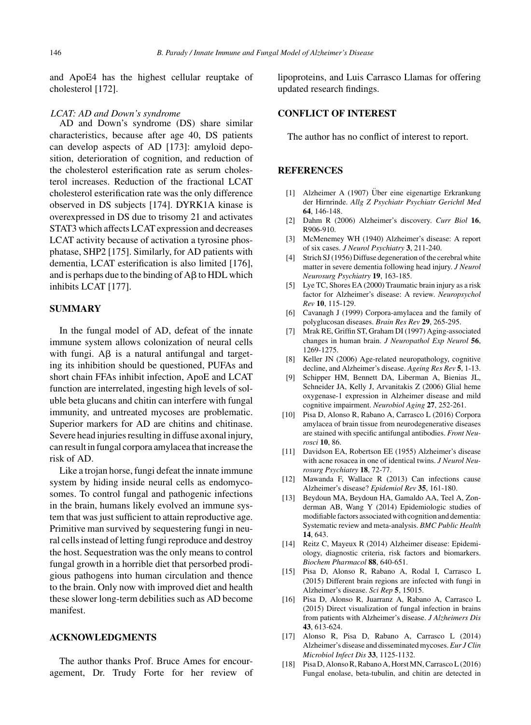and ApoE4 has the highest cellular reuptake of cholesterol [172].

#### *LCAT: AD and Down's syndrome*

AD and Down's syndrome (DS) share similar characteristics, because after age 40, DS patients can develop aspects of AD [173]: amyloid deposition, deterioration of cognition, and reduction of the cholesterol esterification rate as serum cholesterol increases. Reduction of the fractional LCAT cholesterol esterification rate was the only difference observed in DS subjects [174]. DYRK1A kinase is overexpressed in DS due to trisomy 21 and activates STAT3 which affects LCAT expression and decreases LCAT activity because of activation a tyrosine phosphatase, SHP2 [175]. Similarly, for AD patients with dementia, LCAT esterification is also limited [176], and is perhaps due to the binding of  $A\beta$  to HDL which inhibits LCAT [177].

#### **SUMMARY**

In the fungal model of AD, defeat of the innate immune system allows colonization of neural cells with fungi.  $\text{A}\beta$  is a natural antifungal and targeting its inhibition should be questioned, PUFAs and short chain FFAs inhibit infection, ApoE and LCAT function are interrelated, ingesting high levels of soluble beta glucans and chitin can interfere with fungal immunity, and untreated mycoses are problematic. Superior markers for AD are chitins and chitinase. Severe head injuries resulting in diffuse axonal injury, can result in fungal corpora amylacea that increase the risk of AD.

Like a trojan horse, fungi defeat the innate immune system by hiding inside neural cells as endomycosomes. To control fungal and pathogenic infections in the brain, humans likely evolved an immune system that was just sufficient to attain reproductive age. Primitive man survived by sequestering fungi in neural cells instead of letting fungi reproduce and destroy the host. Sequestration was the only means to control fungal growth in a horrible diet that persorbed prodigious pathogens into human circulation and thence to the brain. Only now with improved diet and health these slower long-term debilities such as AD become manifest.

#### **ACKNOWLEDGMENTS**

The author thanks Prof. Bruce Ames for encouragement, Dr. Trudy Forte for her review of lipoproteins, and Luis Carrasco Llamas for offering updated research findings.

#### **CONFLICT OF INTEREST**

The author has no conflict of interest to report.

#### **REFERENCES**

- [1] Alzheimer A (1907) Über eine eigenartige Erkrankung der Hirnrinde. *Allg Z Psychiatr Psychiatr Gerichtl Med* **64**, 146-148.
- [2] Dahm R (2006) Alzheimer's discovery. *Curr Biol* **16**, R906-910.
- [3] McMenemey WH (1940) Alzheimer's disease: A report of six cases. *J Neurol Psychiatry* **3**, 211-240.
- [4] Strich SJ (1956) Diffuse degeneration of the cerebral white matter in severe dementia following head injury. *J Neurol Neurosurg Psychiatry* **19**, 163-185.
- [5] Lye TC, Shores EA (2000) Traumatic brain injury as a risk factor for Alzheimer's disease: A review. *Neuropsychol Rev* **10**, 115-129.
- [6] Cavanagh J (1999) Corpora-amylacea and the family of polyglucosan diseases. *Brain Res Rev* **29**, 265-295.
- [7] Mrak RE, Griffin ST, Graham DI (1997) Aging-associated changes in human brain. *J Neuropathol Exp Neurol* **56**, 1269-1275.
- [8] Keller JN (2006) Age-related neuropathology, cognitive decline, and Alzheimer's disease. *Ageing Res Rev* **5**, 1-13.
- [9] Schipper HM, Bennett DA, Liberman A, Bienias JL, Schneider JA, Kelly J, Arvanitakis Z (2006) Glial heme oxygenase-1 expression in Alzheimer disease and mild cognitive impairment. *Neurobiol Aging* **27**, 252-261.
- [10] Pisa D, Alonso R, Rabano A, Carrasco L (2016) Corpora amylacea of brain tissue from neurodegenerative diseases are stained with specific antifungal antibodies. *Front Neurosci* **10**, 86.
- [11] Davidson EA, Robertson EE (1955) Alzheimer's disease with acne rosacea in one of identical twins. *J Neurol Neurosurg Psychiatry* **18**, 72-77.
- [12] Mawanda F, Wallace R (2013) Can infections cause Alzheimer's disease? *Epidemiol Rev* **35**, 161-180.
- [13] Beydoun MA, Beydoun HA, Gamaldo AA, Teel A, Zonderman AB, Wang Y (2014) Epidemiologic studies of modifiable factors associated with cognition and dementia: Systematic review and meta-analysis. *BMC Public Health* **14**, 643.
- [14] Reitz C, Mayeux R (2014) Alzheimer disease: Epidemiology, diagnostic criteria, risk factors and biomarkers. *Biochem Pharmacol* **88**, 640-651.
- [15] Pisa D, Alonso R, Rabano A, Rodal I, Carrasco L (2015) Different brain regions are infected with fungi in Alzheimer's disease. *Sci Rep* **5**, 15015.
- [16] Pisa D, Alonso R, Juarranz A, Rabano A, Carrasco L (2015) Direct visualization of fungal infection in brains from patients with Alzheimer's disease. *J Alzheimers Dis* **43**, 613-624.
- [17] Alonso R, Pisa D, Rabano A, Carrasco L (2014) Alzheimer's disease and disseminated mycoses. *Eur J Clin Microbiol Infect Dis* **33**, 1125-1132.
- [18] Pisa D, Alonso R, Rabano A, Horst MN, Carrasco L (2016) Fungal enolase, beta-tubulin, and chitin are detected in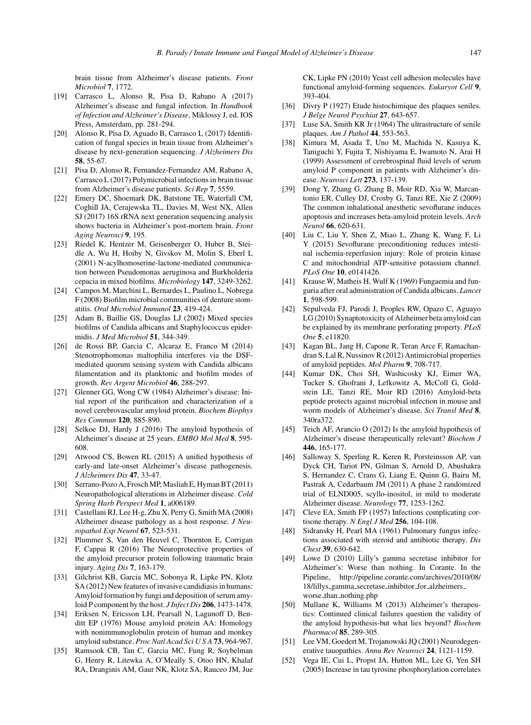brain tissue from Alzheimer's disease patients. *Front Microbiol* **7**, 1772.

- [19] Carrasco L, Alonso R, Pisa D, Rabano A (2017) Alzheimer's disease and fungal infection. In *Handbook of Infection and Alzheimer's Disease*, Miklossy J, ed. IOS Press, Amsterdam, pp. 281-294.
- [20] Alonso R, Pisa D, Aguado B, Carrasco L (2017) Identification of fungal species in brain tissue from Alzheimer's disease by next-generation sequencing. *J Alzheimers Dis* **58**, 55-67.
- [21] Pisa D, Alonso R, Fernandez-Fernandez AM, Rabano A, Carrasco L (2017) Polymicrobial infections in brain tissue from Alzheimer's disease patients. *Sci Rep* **7**, 5559.
- [22] Emery DC, Shoemark DK, Batstone TE, Waterfall CM, Coghill JA, Cerajewska TL, Davies M, West NX, Allen SJ (2017) 16S rRNA next generation sequencing analysis shows bacteria in Alzheimer's post-mortem brain. *Front Aging Neurosci* **9**, 195.
- [23] Riedel K, Hentzer M, Geisenberger O, Huber B, Steidle A, Wu H, Hoiby N, Givskov M, Molin S, Eberl L (2001) N-acylhomoserine-lactone-mediated communication between Pseudomonas aeruginosa and Burkholderia cepacia in mixed biofilms. *Microbiology* **147**, 3249-3262.
- [24] Campos M, Marchini L, Bernardes L, Paulino L, Nobrega F (2008) Biofilm microbial communities of denture stomatitis. *Oral Microbiol Immunol* **23**, 419-424.
- [25] Adam B, Baillie GS, Douglas LJ (2002) Mixed species biofilms of Candida albicans and Staphylococcus epidermidis. *J Med Microbiol* **51**, 344-349.
- [26] de Rossi BP, Garcia C, Alcaraz E, Franco M (2014) Stenotrophomonas maltophilia interferes via the DSFmediated quorum sensing system with Candida albicans filamentation and its planktonic and biofilm modes of growth. *Rev Argent Microbiol* **46**, 288-297.
- [27] Glenner GG, Wong CW (1984) Alzheimer's disease: Initial report of the purification and characterization of a novel cerebrovascular amyloid protein. *Biochem Biophys Res Commun* **120**, 885-890.
- [28] Selkoe DJ, Hardy J (2016) The amyloid hypothesis of Alzheimer's disease at 25 years. *EMBO Mol Med* **8**, 595- 608.
- [29] Atwood CS, Bowen RL (2015) A unified hypothesis of early-and late-onset Alzheimer's disease pathogenesis. *J Alzheimers Dis* **47**, 33-47.
- [30] Serrano-Pozo A, Frosch MP, Masliah E, Hyman BT (2011) Neuropathological alterations in Alzheimer disease. *Cold Spring Harb Perspect Med* **1**, a006189.
- [31] Castellani RJ, Lee H-g, Zhu X, Perry G, Smith MA (2008) Alzheimer disease pathology as a host response. *J Neuropathol Exp Neurol* **67**, 523-531.
- [32] Plummer S, Van den Heuvel C, Thornton E, Corrigan F, Cappai R (2016) The Neuroprotective properties of the amyloid precursor protein following traumatic brain injury. *Aging Dis* **7**, 163-179.
- [33] Gilchrist KB, Garcia MC, Sobonya R, Lipke PN, Klotz SA (2012) New features of invasive candidiasis in humans: Amyloid formation by fungi and deposition of serum amyloid P component by the host. *J Infect Dis* **206**, 1473-1478.
- [34] Eriksen N, Ericsson LH, Pearsall N, Lagunoff D, Benditt EP (1976) Mouse amyloid protein AA: Homology with nonimmunoglobulin protein of human and monkey amyloid substance. *Proc Natl Acad Sci U S A* **73**, 964-967.
- [35] Ramsook CB, Tan C, Garcia MC, Fung R, Soybelman G, Henry R, Litewka A, O'Meally S, Otoo HN, Khalaf RA, Dranginis AM, Gaur NK, Klotz SA, Rauceo JM, Jue

CK, Lipke PN (2010) Yeast cell adhesion molecules have functional amyloid-forming sequences. *Eukaryot Cell* **9**, 393-404.

- [36] Divry P (1927) Etude histochimique des plaques seniles. *J Belge Neurol Psychiat* **27**, 643-657.
- [37] Luse SA, Smith KR Jr (1964) The ultrastructure of senile plaques. *Am J Pathol* **44**, 553-563.
- [38] Kimura M, Asada T, Uno M, Machida N, Kasuya K, Taniguchi Y, Fujita T, Nishiyama E, Iwamoto N, Arai H (1999) Assessment of cerebrospinal fluid levels of serum amyloid P component in patients with Alzheimer's disease. *Neurosci Lett* **273**, 137-139.
- [39] Dong Y, Zhang G, Zhang B, Moir RD, Xia W, Marcantonio ER, Culley DJ, Crosby G, Tanzi RE, Xie Z (2009) The common inhalational anesthetic sevoflurane induces apoptosis and increases beta-amyloid protein levels. *Arch Neurol* **66**, 620-631.
- [40] Liu C, Liu Y, Shen Z, Miao L, Zhang K, Wang F, Li Y (2015) Sevoflurane preconditioning reduces intestinal ischemia-reperfusion injury: Role of protein kinase C and mitochondrial ATP-sensitive potassium channel. *PLoS One* **10**, e0141426.
- [41] Krause W, Matheis H, Wulf K (1969) Fungaemia and funguria after oral administration of Candida albicans. *Lancet* **1**, 598-599.
- [42] Sepulveda FJ, Parodi J, Peoples RW, Opazo C, Aguayo LG (2010) Synaptotoxicity of Alzheimer beta amyloid can be explained by its membrane perforating property. *PLoS One* **5**, e11820.
- [43] Kagan BL, Jang H, Capone R, Teran Arce F, Ramachandran S, Lal R, Nussinov R (2012) Antimicrobial properties of amyloid peptides. *Mol Pharm* **9**, 708-717.
- [44] Kumar DK, Choi SH, Washicosky KJ, Eimer WA, Tucker S, Ghofrani J, Lefkowitz A, McColl G, Goldstein LE, Tanzi RE, Moir RD (2016) Amyloid-beta peptide protects against microbial infection in mouse and worm models of Alzheimer's disease. *Sci Transl Med* **8**, 340ra372.
- [45] Teich AF, Arancio O (2012) Is the amyloid hypothesis of Alzheimer's disease therapeutically relevant? *Biochem J* **446**, 165-177.
- [46] Salloway S, Sperling R, Keren R, Porsteinsson AP, van Dyck CH, Tariot PN, Gilman S, Arnold D, Abushakra S, Hernandez C, Crans G, Liang E, Quinn G, Bairu M, Pastrak A, Cedarbaum JM (2011) A phase 2 randomized trial of ELND005, scyllo-inositol, in mild to moderate Alzheimer disease. *Neurology* **77**, 1253-1262.
- [47] Cleve EA, Smith FP (1957) Infections complicating cortisone therapy. *N Engl J Med* **256**, 104-108.
- [48] Sidransky H, Pearl MA (1961) Pulmonary fungus infections associated with steroid and antibiotic therapy. *Dis Chest* **39**, 630-642.
- [49] Lowe D (2010) Lilly's gamma secretase inhibitor for Alzheimer's: Worse than nothing. In Corante. In the Pipeline, [http://pipeline.corante.com/archives/2010/08/](http://pipeline.corante.com/archives/2010/08/18/lillys_gamma_secretase_inhibitor_for_alzheimers_worse_than_nothing.php) 18/lillys gamma secretase inhibitor for [alzheimers](http://pipeline.corante.com/archives/2010/08/18/lillys_gamma_secretase_inhibitor_for_alzheimers_worse_than_nothing.php) worse\_than\_[nothing.php](http://pipeline.corante.com/archives/2010/08/18/lillys_gamma_secretase_inhibitor_for_alzheimers_worse_than_nothing.php)
- [50] Mullane K, Williams M (2013) Alzheimer's therapeutics: Continued clinical failures question the validity of the amyloid hypothesis-but what lies beyond? *Biochem Pharmacol* **85**, 289-305.
- [51] Lee VM, Goedert M, Trojanowski JQ (2001) Neurodegenerative tauopathies. *Annu Rev Neurosci* **24**, 1121-1159.
- [52] Vega IE, Cui L, Propst JA, Hutton ML, Lee G, Yen SH (2005) Increase in tau tyrosine phosphorylation correlates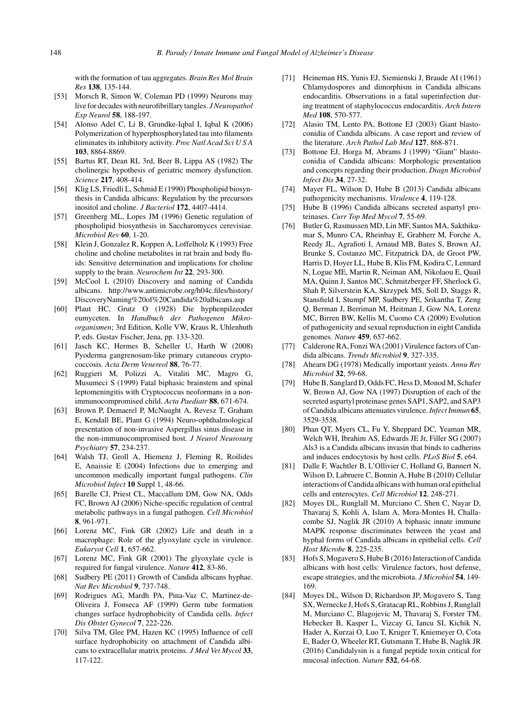with the formation of tau aggregates. *Brain Res Mol Brain Res* **138**, 135-144.

- [53] Morsch R, Simon W, Coleman PD (1999) Neurons may live for decades with neurofibrillary tangles. *J Neuropathol Exp Neurol* **58**, 188-197.
- [54] Alonso Adel C, Li B, Grundke-Iqbal I, Iqbal K (2006) Polymerization of hyperphosphorylated tau into filaments eliminates its inhibitory activity. *Proc Natl Acad SciUSA* **103**, 8864-8869.
- [55] Bartus RT, Dean RL 3rd, Beer B, Lippa AS (1982) The cholinergic hypothesis of geriatric memory dysfunction. *Science* **217**, 408-414.
- [56] Klig LS, Friedli L, Schmid E (1990) Phospholipid biosynthesis in Candida albicans: Regulation by the precursors inositol and choline. *J Bacteriol* **172**, 4407-4414.
- [57] Greenberg ML, Lopes JM (1996) Genetic regulation of phospholipid biosynthesis in Saccharomyces cerevisiae. *Microbiol Rev* **60**, 1-20.
- [58] Klein J, Gonzalez R, Koppen A, Loffelholz K (1993) Free choline and choline metabolites in rat brain and body fluids: Sensitive determination and implications for choline supply to the brain. *Neurochem Int* **22**, 293-300.
- [59] McCool L (2010) Discovery and naming of Candida albicans. [http://www.antimicrobe.org/h04c.files/history/](http://www.antimicrobe.org/h04c.files/history/DiscoveryNaming%20of%20Candida%20albicans.asp) [DiscoveryNaming%20of%20Candida%20albicans.asp](http://www.antimicrobe.org/h04c.files/history/DiscoveryNaming%20of%20Candida%20albicans.asp)
- [60] Plaut HC, Grutz O (1928) Die hyphenpilzeoder eumyceten. In *Handbuch der Pathogenen Mikroorganismen*; 3rd Edition, Kolle VW, Kraus R, Uhlenhuth P, eds. Gustav Fischer, Jena, pp. 133-320.
- [61] Jasch KC, Hermes B, Scheller U, Harth W (2008) Pyoderma gangrenosum-like primary cutaneous cryptococcosis. *Acta Derm Venereol* **88**, 76-77.
- [62] Ruggieri M, Polizzi A, Vitaliti MC, Magro G, Musumeci S (1999) Fatal biphasic brainstem and spinal leptomeningitis with Cryptococcus neoformans in a nonimmunocompromised child. *Acta Paediatr* **88**, 671-674.
- [63] Brown P, Demaerel P, McNaught A, Revesz T, Graham E, Kendall BE, Plant G (1994) Neuro-ophthalmological presentation of non-invasive Aspergillus sinus disease in the non-immunocompromised host. *J Neurol Neurosurg Psychiatry* **57**, 234-237.
- [64] Walsh TJ, Groll A, Hiemenz J, Fleming R, Roilides E, Anaissie E (2004) Infections due to emerging and uncommon medically important fungal pathogens. *Clin Microbiol Infect* **10** Suppl 1, 48-66.
- [65] Barelle CJ, Priest CL, Maccallum DM, Gow NA, Odds FC, Brown AJ (2006) Niche-specific regulation of central metabolic pathways in a fungal pathogen. *Cell Microbiol* **8**, 961-971.
- [66] Lorenz MC, Fink GR (2002) Life and death in a macrophage: Role of the glyoxylate cycle in virulence. *Eukaryot Cell* **1**, 657-662.
- [67] Lorenz MC, Fink GR (2001) The glyoxylate cycle is required for fungal virulence. *Nature* **412**, 83-86.
- [68] Sudbery PE (2011) Growth of Candida albicans hyphae. *Nat Rev Microbiol* **9**, 737-748.
- [69] Rodrigues AG, Mardh PA, Pina-Vaz C, Martinez-de-Oliveira J, Fonseca AF (1999) Germ tube formation changes surface hydrophobicity of Candida cells. *Infect Dis Obstet Gynecol* **7**, 222-226.
- [70] Silva TM, Glee PM, Hazen KC (1995) Influence of cell surface hydrophobicity on attachment of Candida albicans to extracellular matrix proteins. *J Med Vet Mycol* **33**, 117-122.
- [71] Heineman HS, Yunis EJ, Siemienski J, Braude AI (1961) Chlamydospores and dimorphism in Candida albicans endocarditis. Observations in a fatal superinfection during treatment of staphylococcus endocarditis. *Arch Intern Med* **108**, 570-577.
- [72] Alasio TM, Lento PA, Bottone EJ (2003) Giant blastoconidia of Candida albicans. A case report and review of the literature. *Arch Pathol Lab Med* **127**, 868-871.
- [73] Bottone EJ, Horga M, Abrams J (1999) "Giant" blastoconidia of Candida albicans: Morphologic presentation and concepts regarding their production. *Diagn Microbiol Infect Dis* **34**, 27-32.
- [74] Mayer FL, Wilson D, Hube B (2013) Candida albicans pathogenicity mechanisms. *Virulence* **4**, 119-128.
- [75] Hube B (1996) Candida albicans secreted aspartyl proteinases. *Curr Top Med Mycol* **7**, 55-69.
- [76] Butler G, Rasmussen MD, Lin MF, Santos MA, Sakthikumar S, Munro CA, Rheinbay E, Grabherr M, Forche A, Reedy JL, Agrafioti I, Arnaud MB, Bates S, Brown AJ, Brunke S, Costanzo MC, Fitzpatrick DA, de Groot PW, Harris D, Hoyer LL, Hube B, Klis FM, Kodira C, Lennard N, Logue ME, Martin R, Neiman AM, Nikolaou E, Quail MA, Quinn J, Santos MC, Schmitzberger FF, Sherlock G, Shah P, Silverstein KA, Skrzypek MS, Soll D, Staggs R, Stansfield I, Stumpf MP, Sudbery PE, Srikantha T, Zeng Q, Berman J, Berriman M, Heitman J, Gow NA, Lorenz MC, Birren BW, Kellis M, Cuomo CA (2009) Evolution of pathogenicity and sexual reproduction in eight Candida genomes. *Nature* **459**, 657-662.
- [77] Calderone RA, Fonzi WA (2001) Virulence factors of Candida albicans. *Trends Microbiol* **9**, 327-335.
- [78] Ahearn DG (1978) Medically important yeasts. *Annu Rev Microbiol* **32**, 59-68.
- [79] Hube B, Sanglard D, Odds FC, Hess D, Monod M, Schafer W, Brown AJ, Gow NA (1997) Disruption of each of the secreted aspartyl proteinase genes SAP1, SAP2, and SAP3 of Candida albicans attenuates virulence.*Infect Immun* **65**, 3529-3538.
- [80] Phan QT, Myers CL, Fu Y, Sheppard DC, Yeaman MR, Welch WH, Ibrahim AS, Edwards JE Jr, Filler SG (2007) Als3 is a Candida albicans invasin that binds to cadherins and induces endocytosis by host cells. *PLoS Biol* **5**, e64.
- [81] Dalle F, Wachtler B, L'Ollivier C, Holland G, Bannert N, Wilson D, Labruere C, Bonnin A, Hube B (2010) Cellular interactions of Candida albicans with human oral epithelial cells and enterocytes. *Cell Microbiol* **12**, 248-271.
- [82] Moyes DL, Runglall M, Murciano C, Shen C, Nayar D, Thavaraj S, Kohli A, Islam A, Mora-Montes H, Challacombe SJ, Naglik JR (2010) A biphasic innate immune MAPK response discriminates between the yeast and hyphal forms of Candida albicans in epithelial cells. *Cell Host Microbe* **8**, 225-235.
- [83] Hofs S, Mogavero S, Hube B (2016) Interaction of Candida albicans with host cells: Virulence factors, host defense, escape strategies, and the microbiota. *J Microbiol* **54**, 149- 169.
- [84] Moyes DL, Wilson D, Richardson JP, Mogavero S, Tang SX, Wernecke J, Hofs S, Gratacap RL, Robbins J, Runglall M, Murciano C, Blagojevic M, Thavaraj S, Forster TM, Hebecker B, Kasper L, Vizcay G, Iancu SI, Kichik N, Hader A, Kurzai O, Luo T, Kruger T, Kniemeyer O, Cota E, Bader O, Wheeler RT, Gutsmann T, Hube B, Naglik JR (2016) Candidalysin is a fungal peptide toxin critical for mucosal infection. *Nature* **532**, 64-68.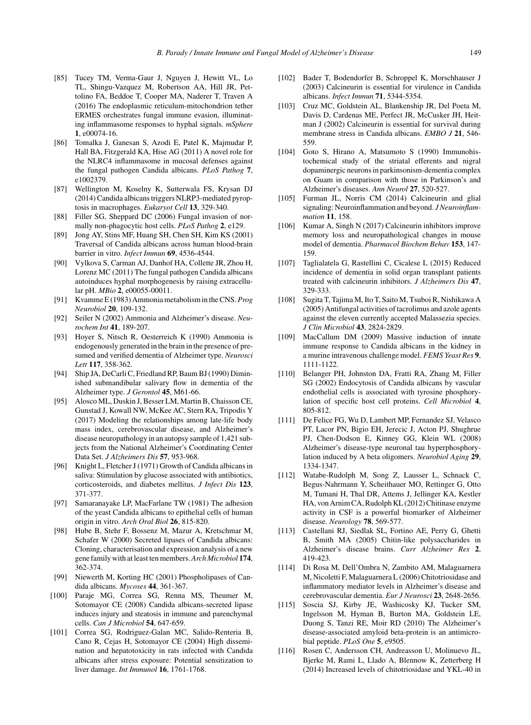- [85] Tucey TM, Verma-Gaur J, Nguyen J, Hewitt VL, Lo TL, Shingu-Vazquez M, Robertson AA, Hill JR, Pettolino FA, Beddoe T, Cooper MA, Naderer T, Traven A (2016) The endoplasmic reticulum-mitochondrion tether ERMES orchestrates fungal immune evasion, illuminating inflammasome responses to hyphal signals. *mSphere* **1**, e00074-16.
- [86] Tomalka J, Ganesan S, Azodi E, Patel K, Majmudar P, Hall BA, Fitzgerald KA, Hise AG (2011) A novel role for the NLRC4 inflammasome in mucosal defenses against the fungal pathogen Candida albicans. *PLoS Pathog* **7**, e1002379.
- [87] Wellington M, Koselny K, Sutterwala FS, Krysan DJ (2014) Candida albicans triggers NLRP3-mediated pyroptosis in macrophages. *Eukaryot Cell* **13**, 329-340.
- [88] Filler SG, Sheppard DC (2006) Fungal invasion of normally non-phagocytic host cells. *PLoS Pathog* **2**, e129.
- [89] Jong AY, Stins MF, Huang SH, Chen SH, Kim KS (2001) Traversal of Candida albicans across human blood-brain barrier in vitro. *Infect Immun* **69**, 4536-4544.
- [90] Vylkova S, Carman AJ, Danhof HA, Collette JR, Zhou H, Lorenz MC (2011) The fungal pathogen Candida albicans autoinduces hyphal morphogenesis by raising extracellular pH. *MBio* **2**, e00055-00011.
- [91] Kvamme E (1983) Ammonia metabolism in the CNS.*Prog Neurobiol* **20**, 109-132.
- [92] Seiler N (2002) Ammonia and Alzheimer's disease. *Neurochem Int* **41**, 189-207.
- [93] Hoyer S, Nitsch R, Oesterreich K (1990) Ammonia is endogenously generated in the brain in the presence of presumed and verified dementia of Alzheimer type. *Neurosci Lett* **117**, 358-362.
- [94] Ship JA, DeCarli C, Friedland RP, Baum BJ (1990) Diminished submandibular salivary flow in dementia of the Alzheimer type. *J Gerontol* **45**, M61-66.
- [95] Alosco ML, Duskin J, Besser LM, Martin B, Chaisson CE, Gunstad J, Kowall NW, McKee AC, Stern RA, Tripodis Y (2017) Modeling the relationships among late-life body mass index, cerebrovascular disease, and Alzheimer's disease neuropathology in an autopsy sample of 1,421 subjects from the National Alzheimer's Coordinating Center Data Set. *J Alzheimers Dis* **57**, 953-968.
- [96] Knight L, Fletcher J (1971) Growth of Candida albicans in saliva: Stimulation by glucose associated with antibiotics, corticosteroids, and diabetes mellitus. *J Infect Dis* **123**, 371-377.
- [97] Samaranayake LP, MacFarlane TW (1981) The adhesion of the yeast Candida albicans to epithelial cells of human origin in vitro. *Arch Oral Biol* **26**, 815-820.
- [98] Hube B, Stehr F, Bossenz M, Mazur A, Kretschmar M, Schafer W (2000) Secreted lipases of Candida albicans: Cloning, characterisation and expression analysis of a new gene family with at least ten members.*Arch Microbiol* **174**, 362-374.
- [99] Niewerth M, Korting HC (2001) Phospholipases of Candida albicans. *Mycoses* **44**, 361-367.
- [100] Paraje MG, Correa SG, Renna MS, Theumer M, Sotomayor CE (2008) Candida albicans-secreted lipase induces injury and steatosis in immune and parenchymal cells. *Can J Microbiol* **54**, 647-659.
- [101] Correa SG, Rodriguez-Galan MC, Salido-Renteria B, Cano R, Cejas H, Sotomayor CE (2004) High dissemination and hepatotoxicity in rats infected with Candida albicans after stress exposure: Potential sensitization to liver damage. *Int Immunol* **16**, 1761-1768.
- [102] Bader T, Bodendorfer B, Schroppel K, Morschhauser J (2003) Calcineurin is essential for virulence in Candida albicans. *Infect Immun* **71**, 5344-5354.
- [103] Cruz MC, Goldstein AL, Blankenship JR, Del Poeta M, Davis D, Cardenas ME, Perfect JR, McCusker JH, Heitman J (2002) Calcineurin is essential for survival during membrane stress in Candida albicans. *EMBO J* **21**, 546- 559.
- [104] Goto S, Hirano A, Matsumoto S (1990) Immunohistochemical study of the striatal efferents and nigral dopaminergic neurons in parkinsonism-dementia complex on Guam in comparison with those in Parkinson's and Alzheimer's diseases. *Ann Neurol* **27**, 520-527.
- [105] Furman JL, Norris CM (2014) Calcineurin and glial signaling: Neuroinflammation and beyond. *J Neuroinflammation* **11**, 158.
- [106] Kumar A, Singh N (2017) Calcineurin inhibitors improve memory loss and neuropathological changes in mouse model of dementia. *Pharmacol Biochem Behav* **153**, 147- 159.
- [107] Taglialatela G, Rastellini C, Cicalese L (2015) Reduced incidence of dementia in solid organ transplant patients treated with calcineurin inhibitors. *J Alzheimers Dis* **47**, 329-333.
- [108] Sugita T, Tajima M, Ito T, Saito M, Tsuboi R, Nishikawa A (2005) Antifungal activities of tacrolimus and azole agents against the eleven currently accepted Malassezia species. *J Clin Microbiol* **43**, 2824-2829.
- [109] MacCallum DM (2009) Massive induction of innate immune response to Candida albicans in the kidney in a murine intravenous challenge model. *FEMS Yeast Res* **9**, 1111-1122.
- [110] Belanger PH, Johnston DA, Fratti RA, Zhang M, Filler SG (2002) Endocytosis of Candida albicans by vascular endothelial cells is associated with tyrosine phosphorylation of specific host cell proteins. *Cell Microbiol* **4**, 805-812.
- [111] De Felice FG, Wu D, Lambert MP, Fernandez SJ, Velasco PT, Lacor PN, Bigio EH, Jerecic J, Acton PJ, Shughrue PJ, Chen-Dodson E, Kinney GG, Klein WL (2008) Alzheimer's disease-type neuronal tau hyperphosphorylation induced by A beta oligomers. *Neurobiol Aging* **29**, 1334-1347.
- [112] Watabe-Rudolph M, Song Z, Lausser L, Schnack C, Begus-Nahrmann Y, Scheithauer MO, Rettinger G, Otto M, Tumani H, Thal DR, Attems J, Jellinger KA, Kestler HA, von Arnim CA, Rudolph KL (2012) Chitinase enzyme activity in CSF is a powerful biomarker of Alzheimer disease. *Neurology* **78**, 569-577.
- [113] Castellani RJ, Siedlak SL, Fortino AE, Perry G, Ghetti B, Smith MA (2005) Chitin-like polysaccharides in Alzheimer's disease brains. *Curr Alzheimer Res* **2**, 419-423.
- [114] Di Rosa M, Dell'Ombra N, Zambito AM, Malaguarnera M, Nicoletti F, Malaguarnera L (2006) Chitotriosidase and inflammatory mediator levels in Alzheimer's disease and cerebrovascular dementia. *Eur J Neurosci* **23**, 2648-2656.
- [115] Soscia SJ, Kirby JE, Washicosky KJ, Tucker SM, Ingelsson M, Hyman B, Burton MA, Goldstein LE, Duong S, Tanzi RE, Moir RD (2010) The Alzheimer's disease-associated amyloid beta-protein is an antimicrobial peptide. *PLoS One* **5**, e9505.
- [116] Rosen C, Andersson CH, Andreasson U, Molinuevo JL, Bjerke M, Rami L, Llado A, Blennow K, Zetterberg H (2014) Increased levels of chitotriosidase and YKL-40 in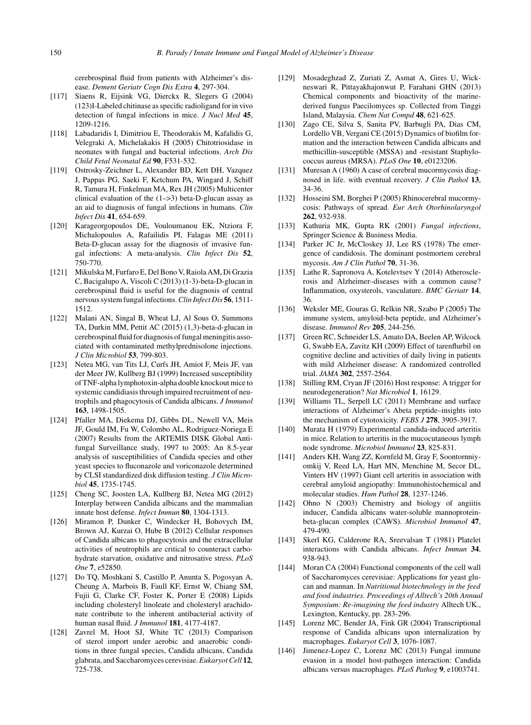cerebrospinal fluid from patients with Alzheimer's disease. *Dement Geriatr Cogn Dis Extra* **4**, 297-304.

- [117] Siaens R, Eijsink VG, Dierckx R, Slegers G (2004) (123)I-Labeled chitinase as specific radioligand for in vivo detection of fungal infections in mice. *J Nucl Med* **45**, 1209-1216.
- [118] Labadaridis I, Dimitriou E, Theodorakis M, Kafalidis G, Velegraki A, Michelakakis H (2005) Chitotriosidase in neonates with fungal and bacterial infections. *Arch Dis Child Fetal Neonatal Ed* **90**, F531-532.
- [119] Ostrosky-Zeichner L, Alexander BD, Kett DH, Vazquez J, Pappas PG, Saeki F, Ketchum PA, Wingard J, Schiff R, Tamura H, Finkelman MA, Rex JH (2005) Multicenter clinical evaluation of the  $(1-3)$  beta-D-glucan assay as an aid to diagnosis of fungal infections in humans. *Clin Infect Dis* **41**, 654-659.
- [120] Karageorgopoulos DE, Vouloumanou EK, Ntziora F, Michalopoulos A, Rafailidis PI, Falagas ME (2011) Beta-D-glucan assay for the diagnosis of invasive fungal infections: A meta-analysis. *Clin Infect Dis* **52**, 750-770.
- [121] Mikulska M, Furfaro E, Del Bono V, Raiola AM, Di Grazia C, Bacigalupo A, Viscoli C (2013) (1-3)-beta-D-glucan in cerebrospinal fluid is useful for the diagnosis of central nervous system fungal infections.*Clin Infect Dis* **56**, 1511- 1512.
- [122] Malani AN, Singal B, Wheat LJ, Al Sous O, Summons TA, Durkin MM, Pettit AC (2015) (1,3)-beta-d-glucan in cerebrospinal fluid for diagnosis of fungal meningitis associated with contaminated methylprednisolone injections. *J Clin Microbiol* **53**, 799-803.
- [123] Netea MG, van Tits LJ, Curfs JH, Amiot F, Meis JF, van der Meer JW, Kullberg BJ (1999) Increased susceptibility of TNF-alpha lymphotoxin-alpha double knockout mice to systemic candidiasis through impaired recruitment of neutrophils and phagocytosis of Candida albicans. *J Immunol* **163**, 1498-1505.
- [124] Pfaller MA, Diekema DJ, Gibbs DL, Newell VA, Meis JF, Gould IM, Fu W, Colombo AL, Rodriguez-Noriega E (2007) Results from the ARTEMIS DISK Global Antifungal Surveillance study, 1997 to 2005: An 8.5-year analysis of susceptibilities of Candida species and other yeast species to fluconazole and voriconazole determined by CLSI standardized disk diffusion testing. *J Clin Microbiol* **45**, 1735-1745.
- [125] Cheng SC, Joosten LA, Kullberg BJ, Netea MG (2012) Interplay between Candida albicans and the mammalian innate host defense. *Infect Immun* **80**, 1304-1313.
- [126] Miramon P, Dunker C, Windecker H, Bohovych IM, Brown AJ, Kurzai O, Hube B (2012) Cellular responses of Candida albicans to phagocytosis and the extracellular activities of neutrophils are critical to counteract carbohydrate starvation, oxidative and nitrosative stress. *PLoS One* **7**, e52850.
- [127] Do TQ, Moshkani S, Castillo P, Anunta S, Pogosyan A, Cheung A, Marbois B, Faull KF, Ernst W, Chiang SM, Fujii G, Clarke CF, Foster K, Porter E (2008) Lipids including cholesteryl linoleate and cholesteryl arachidonate contribute to the inherent antibacterial activity of human nasal fluid. *J Immunol* **181**, 4177-4187.
- [128] Zavrel M, Hoot SJ, White TC (2013) Comparison of sterol import under aerobic and anaerobic conditions in three fungal species, Candida albicans, Candida glabrata, and Saccharomyces cerevisiae. *Eukaryot Cell* **12**, 725-738.
- [129] Mosadeghzad Z, Zuriati Z, Asmat A, Gires U, Wickneswari R, Pittayakhajonwut P, Farahani GHN (2013) Chemical components and bioactivity of the marinederived fungus Paecilomyces sp. Collected from Tinggi Island, Malaysia. *Chem Nat Compd* **48**, 621-625.
- [130] Zago CE, Silva S, Sanita PV, Barbugli PA, Dias CM, Lordello VB, Vergani CE (2015) Dynamics of biofilm formation and the interaction between Candida albicans and methicillin-susceptible (MSSA) and -resistant Staphylococcus aureus (MRSA). *PLoS One* **10**, e0123206.
- [131] Muresan A (1960) A case of cerebral mucormycosis diagnosed in life. with eventual recovery. *J Clin Pathol* **13**, 34-36.
- [132] Hosseini SM, Borghei P (2005) Rhinocerebral mucormycosis: Pathways of spread. *Eur Arch Otorhinolaryngol* **262**, 932-938.
- [133] Kathuria MK, Gupta RK (2001) *Fungal infections*, Springer Science & Business Media.
- [134] Parker JC Jr, McCloskey JJ, Lee RS (1978) The emergence of candidosis. The dominant postmortem cerebral mycosis. *Am J Clin Pathol* **70**, 31-36.
- [135] Lathe R, Sapronova A, Kotelevtsev Y (2014) Atherosclerosis and Alzheimer–diseases with a common cause? Inflammation, oxysterols, vasculature. *BMC Geriatr* **14**, 36.
- [136] Weksler ME, Gouras G, Relkin NR, Szabo P (2005) The immune system, amyloid-beta peptide, and Alzheimer's disease. *Immunol Rev* **205**, 244-256.
- [137] Green RC, Schneider LS, Amato DA, Beelen AP, Wilcock G, Swabb EA, Zavitz KH (2009) Effect of tarenflurbil on cognitive decline and activities of daily living in patients with mild Alzheimer disease: A randomized controlled trial. *JAMA* **302**, 2557-2564.
- [138] Stilling RM, Cryan JF (2016) Host response: A trigger for neurodegeneration? *Nat Microbiol* **1**, 16129.
- [139] Williams TL, Serpell LC (2011) Membrane and surface interactions of Alzheimer's Abeta peptide–insights into the mechanism of cytotoxicity. *FEBS J* **278**, 3905-3917.
- [140] Murata H (1979) Experimental candida-induced arteritis in mice. Relation to arteritis in the mucocutaneous lymph node syndrome. *Microbiol Immunol* **23**, 825-831.
- [141] Anders KH, Wang ZZ, Kornfeld M, Gray F, Soontornniyomkij V, Reed LA, Hart MN, Menchine M, Secor DL, Vinters HV (1997) Giant cell arteritis in association with cerebral amyloid angiopathy: Immunohistochemical and molecular studies. *Hum Pathol* **28**, 1237-1246.
- [142] Ohno N (2003) Chemistry and biology of angiitis inducer, Candida albicans water-soluble mannoproteinbeta-glucan complex (CAWS). *Microbiol Immunol* **47**, 479-490.
- [143] Skerl KG, Calderone RA, Sreevalsan T (1981) Platelet interactions with Candida albicans. *Infect Immun* **34**, 938-943.
- [144] Moran CA (2004) Functional components of the cell wall of Saccharomyces cerevisiae: Applications for yeast glucan and mannan. In *Nutritional biotechnology in the feed and food industries. Proceedings of Alltech's 20th Annual Symposium: Re-imagining the feed industry* Alltech UK., Lexington, Kentucky, pp. 283-296.
- [145] Lorenz MC, Bender JA, Fink GR (2004) Transcriptional response of Candida albicans upon internalization by macrophages. *Eukaryot Cell* **3**, 1076-1087.
- [146] Jimenez-Lopez C, Lorenz MC (2013) Fungal immune evasion in a model host-pathogen interaction: Candida albicans versus macrophages. *PLoS Pathog* **9**, e1003741.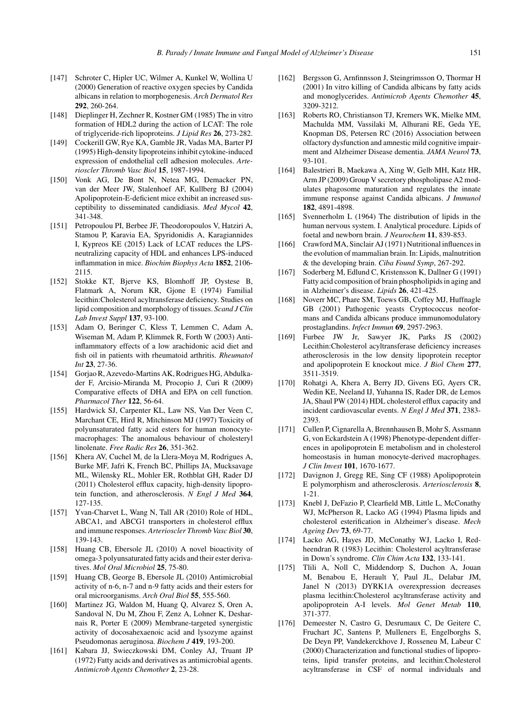- [147] Schroter C, Hipler UC, Wilmer A, Kunkel W, Wollina U (2000) Generation of reactive oxygen species by Candida albicans in relation to morphogenesis. *Arch Dermatol Res* **292**, 260-264.
- [148] Dieplinger H, Zechner R, Kostner GM (1985) The in vitro formation of HDL2 during the action of LCAT: The role of triglyceride-rich lipoproteins. *J Lipid Res* **26**, 273-282.
- [149] Cockerill GW, Rye KA, Gamble JR, Vadas MA, Barter PJ (1995) High-density lipoproteins inhibit cytokine-induced expression of endothelial cell adhesion molecules. *Arterioscler Thromb Vasc Biol* **15**, 1987-1994.
- [150] Vonk AG, De Bont N, Netea MG, Demacker PN, van der Meer JW, Stalenhoef AF, Kullberg BJ (2004) Apolipoprotein-E-deficient mice exhibit an increased susceptibility to disseminated candidiasis. *Med Mycol* **42**, 341-348.
- [151] Petropoulou PI, Berbee JF, Theodoropoulos V, Hatziri A, Stamou P, Karavia EA, Spyridonidis A, Karagiannides I, Kypreos KE (2015) Lack of LCAT reduces the LPSneutralizing capacity of HDL and enhances LPS-induced inflammation in mice. *Biochim Biophys Acta* **1852**, 2106- 2115.
- [152] Stokke KT, Bjerve KS, Blomhoff JP, Oystese B, Flatmark A, Norum KR, Gjone E (1974) Familial lecithin:Cholesterol acyltransferase deficiency. Studies on lipid composition and morphology of tissues. *Scand J Clin Lab Invest Suppl* **137**, 93-100.
- [153] Adam O, Beringer C, Kless T, Lemmen C, Adam A, Wiseman M, Adam P, Klimmek R, Forth W (2003) Antiinflammatory effects of a low arachidonic acid diet and fish oil in patients with rheumatoid arthritis. *Rheumatol Int* **23**, 27-36.
- [154] Gorjao R, Azevedo-Martins AK, Rodrigues HG, Abdulkader F, Arcisio-Miranda M, Procopio J, Curi R (2009) Comparative effects of DHA and EPA on cell function. *Pharmacol Ther* **122**, 56-64.
- [155] Hardwick SJ, Carpenter KL, Law NS, Van Der Veen C, Marchant CE, Hird R, Mitchinson MJ (1997) Toxicity of polyunsaturated fatty acid esters for human monocytemacrophages: The anomalous behaviour of cholesteryl linolenate. *Free Radic Res* **26**, 351-362.
- [156] Khera AV, Cuchel M, de la Llera-Moya M, Rodrigues A, Burke MF, Jafri K, French BC, Phillips JA, Mucksavage ML, Wilensky RL, Mohler ER, Rothblat GH, Rader DJ (2011) Cholesterol efflux capacity, high-density lipoprotein function, and atherosclerosis. *N Engl J Med* **364**, 127-135.
- [157] Yvan-Charvet L, Wang N, Tall AR (2010) Role of HDL, ABCA1, and ABCG1 transporters in cholesterol efflux and immune responses. *Arterioscler Thromb Vasc Biol* **30**, 139-143.
- [158] Huang CB, Ebersole JL (2010) A novel bioactivity of omega-3 polyunsaturated fatty acids and their ester derivatives. *Mol Oral Microbiol* **25**, 75-80.
- [159] Huang CB, George B, Ebersole JL (2010) Antimicrobial activity of n-6, n-7 and n-9 fatty acids and their esters for oral microorganisms. *Arch Oral Biol* **55**, 555-560.
- [160] Martinez JG, Waldon M, Huang Q, Alvarez S, Oren A, Sandoval N, Du M, Zhou F, Zenz A, Lohner K, Desharnais R, Porter E (2009) Membrane-targeted synergistic activity of docosahexaenoic acid and lysozyme against Pseudomonas aeruginosa. *Biochem J* **419**, 193-200.
- [161] Kabara JJ, Swieczkowski DM, Conley AJ, Truant JP (1972) Fatty acids and derivatives as antimicrobial agents. *Antimicrob Agents Chemother* **2**, 23-28.
- [162] Bergsson G, Arnfinnsson J, Steingrimsson O, Thormar H (2001) In vitro killing of Candida albicans by fatty acids and monoglycerides. *Antimicrob Agents Chemother* **45**, 3209-3212.
- [163] Roberts RO, Christianson TJ, Kremers WK, Mielke MM, Machulda MM, Vassilaki M, Alhurani RE, Geda YE, Knopman DS, Petersen RC (2016) Association between olfactory dysfunction and amnestic mild cognitive impairment and Alzheimer Disease dementia. *JAMA Neurol* **73**, 93-101.
- [164] Balestrieri B, Maekawa A, Xing W, Gelb MH, Katz HR, Arm JP (2009) Group V secretory phospholipase A2 modulates phagosome maturation and regulates the innate immune response against Candida albicans. *J Immunol* **182**, 4891-4898.
- [165] Svennerholm L (1964) The distribution of lipids in the human nervous system. I. Analytical procedure. Lipids of foetal and newborn brain. *J Neurochem* **11**, 839-853.
- [166] Crawford MA, Sinclair AJ (1971) Nutritional influences in the evolution of mammalian brain. In: Lipids, malnutrition & the developing brain. *Ciba Found Symp*, 267-292.
- [167] Soderberg M, Edlund C, Kristensson K, Dallner G (1991) Fatty acid composition of brain phospholipids in aging and in Alzheimer's disease. *Lipids* **26**, 421-425.
- [168] Noverr MC, Phare SM, Toews GB, Coffey MJ, Huffnagle GB (2001) Pathogenic yeasts Cryptococcus neoformans and Candida albicans produce immunomodulatory prostaglandins. *Infect Immun* **69**, 2957-2963.
- [169] Furbee JW Jr, Sawyer JK, Parks JS (2002) Lecithin:Cholesterol acyltransferase deficiency increases atherosclerosis in the low density lipoprotein receptor and apolipoprotein E knockout mice. *J Biol Chem* **277**, 3511-3519.
- [170] Rohatgi A, Khera A, Berry JD, Givens EG, Ayers CR, Wedin KE, Neeland IJ, Yuhanna IS, Rader DR, de Lemos JA, Shaul PW (2014) HDL cholesterol efflux capacity and incident cardiovascular events. *N Engl J Med* **371**, 2383- 2393.
- [171] Cullen P, Cignarella A, Brennhausen B, Mohr S, Assmann G, von Eckardstein A (1998) Phenotype-dependent differences in apolipoprotein E metabolism and in cholesterol homeostasis in human monocyte-derived macrophages. *J Clin Invest* **101**, 1670-1677.
- [172] Davignon J, Gregg RE, Sing CF (1988) Apolipoprotein E polymorphism and atherosclerosis. *Arteriosclerosis* **8**, 1-21.
- [173] Knebl J, DeFazio P, Clearfield MB, Little L, McConathy WJ, McPherson R, Lacko AG (1994) Plasma lipids and cholesterol esterification in Alzheimer's disease. *Mech Ageing Dev* **73**, 69-77.
- [174] Lacko AG, Hayes JD, McConathy WJ, Lacko I, Redheendran R (1983) Lecithin: Cholesterol acyltransferase in Down's syndrome. *Clin Chim Acta* **132**, 133-141.
- [175] Tlili A, Noll C, Middendorp S, Duchon A, Jouan M, Benabou E, Herault Y, Paul JL, Delabar JM, Janel N (2013) DYRK1A overexpression decreases plasma lecithin:Cholesterol acyltransferase activity and apolipoprotein A-I levels. *Mol Genet Metab* **110**, 371-377.
- [176] Demeester N, Castro G, Desrumaux C, De Geitere C, Fruchart JC, Santens P, Mulleners E, Engelborghs S, De Deyn PP, Vandekerckhove J, Rosseneu M, Labeur C (2000) Characterization and functional studies of lipoproteins, lipid transfer proteins, and lecithin:Cholesterol acyltransferase in CSF of normal individuals and